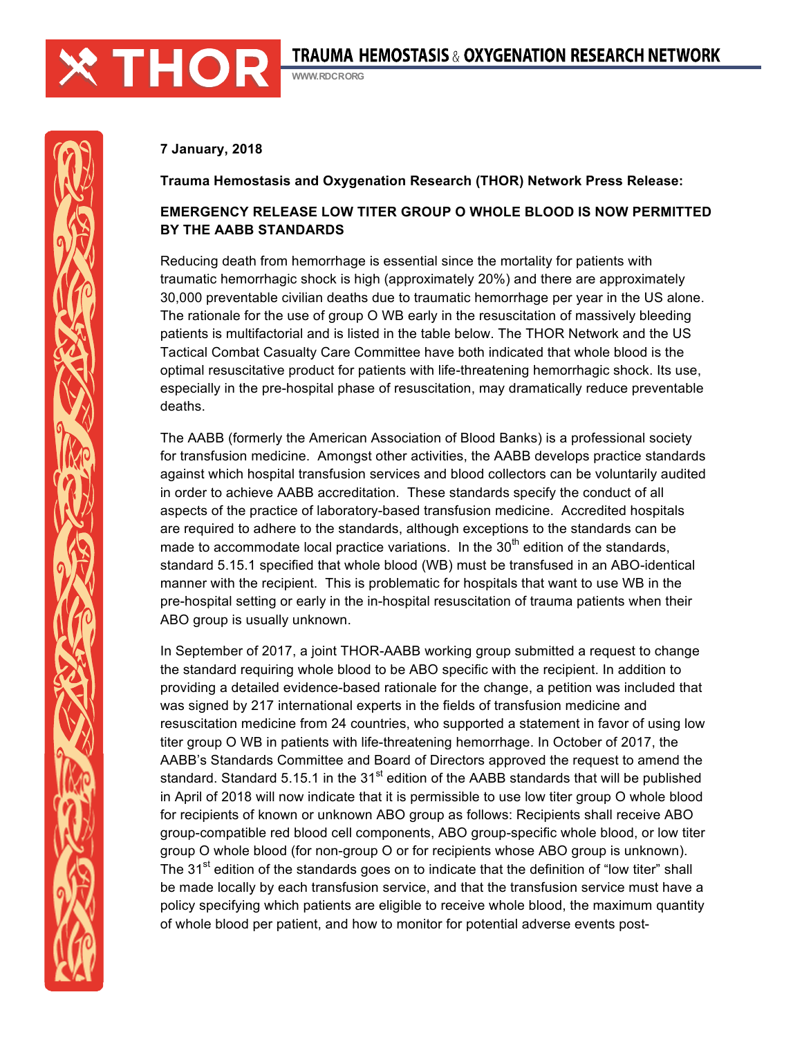

WWW.RDCRORG

## **7 January, 2018**

**Trauma Hemostasis and Oxygenation Research (THOR) Network Press Release:**

# **EMERGENCY RELEASE LOW TITER GROUP O WHOLE BLOOD IS NOW PERMITTED BY THE AABB STANDARDS**

Reducing death from hemorrhage is essential since the mortality for patients with traumatic hemorrhagic shock is high (approximately 20%) and there are approximately 30,000 preventable civilian deaths due to traumatic hemorrhage per year in the US alone. The rationale for the use of group O WB early in the resuscitation of massively bleeding patients is multifactorial and is listed in the table below. The THOR Network and the US Tactical Combat Casualty Care Committee have both indicated that whole blood is the optimal resuscitative product for patients with life-threatening hemorrhagic shock. Its use, especially in the pre-hospital phase of resuscitation, may dramatically reduce preventable deaths.

The AABB (formerly the American Association of Blood Banks) is a professional society for transfusion medicine. Amongst other activities, the AABB develops practice standards against which hospital transfusion services and blood collectors can be voluntarily audited in order to achieve AABB accreditation. These standards specify the conduct of all aspects of the practice of laboratory-based transfusion medicine. Accredited hospitals are required to adhere to the standards, although exceptions to the standards can be made to accommodate local practice variations. In the  $30<sup>th</sup>$  edition of the standards, standard 5.15.1 specified that whole blood (WB) must be transfused in an ABO-identical manner with the recipient. This is problematic for hospitals that want to use WB in the pre-hospital setting or early in the in-hospital resuscitation of trauma patients when their ABO group is usually unknown.

In September of 2017, a joint THOR-AABB working group submitted a request to change the standard requiring whole blood to be ABO specific with the recipient. In addition to providing a detailed evidence-based rationale for the change, a petition was included that was signed by 217 international experts in the fields of transfusion medicine and resuscitation medicine from 24 countries, who supported a statement in favor of using low titer group O WB in patients with life-threatening hemorrhage. In October of 2017, the AABB's Standards Committee and Board of Directors approved the request to amend the standard. Standard 5.15.1 in the  $31<sup>st</sup>$  edition of the AABB standards that will be published in April of 2018 will now indicate that it is permissible to use low titer group O whole blood for recipients of known or unknown ABO group as follows: Recipients shall receive ABO group-compatible red blood cell components, ABO group-specific whole blood, or low titer group O whole blood (for non-group O or for recipients whose ABO group is unknown). The 31<sup>st</sup> edition of the standards goes on to indicate that the definition of "low titer" shall be made locally by each transfusion service, and that the transfusion service must have a policy specifying which patients are eligible to receive whole blood, the maximum quantity of whole blood per patient, and how to monitor for potential adverse events post-